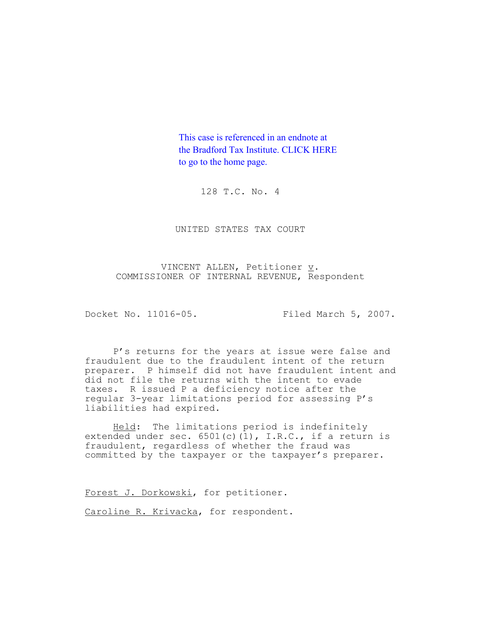This case is referenced in an endnote at [the Bradford Tax Institute. CLICK HERE](http://www.bradfordtaxinstitute.com/)  to go to the home page.

128 T.C. No. 4

UNITED STATES TAX COURT

VINCENT ALLEN, Petitioner  $\underline{v}$ . COMMISSIONER OF INTERNAL REVENUE, Respondent

Docket No. 11016-05. Filed March 5, 2007.

P's returns for the years at issue were false and fraudulent due to the fraudulent intent of the return preparer. P himself did not have fraudulent intent and did not file the returns with the intent to evade taxes. R issued P a deficiency notice after the regular 3-year limitations period for assessing P's liabilities had expired.

Held: The limitations period is indefinitely extended under sec.  $6501(c)(1)$ , I.R.C., if a return is fraudulent, regardless of whether the fraud was committed by the taxpayer or the taxpayer's preparer.

Forest J. Dorkowski, for petitioner.

Caroline R. Krivacka, for respondent.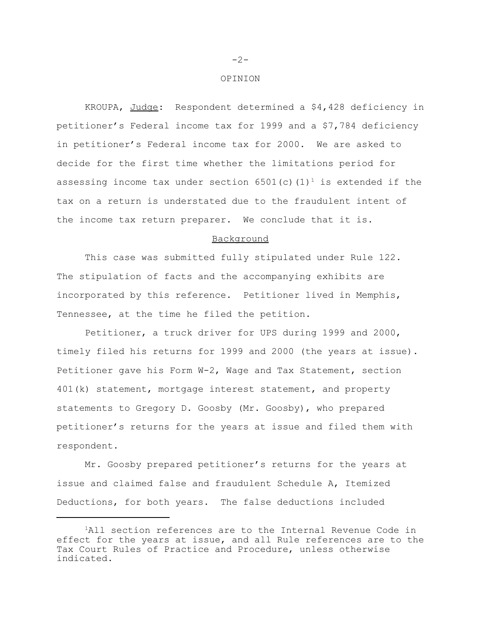#### OPINION

KROUPA, Judge: Respondent determined a \$4,428 deficiency in petitioner's Federal income tax for 1999 and a \$7,784 deficiency in petitioner's Federal income tax for 2000. We are asked to decide for the first time whether the limitations period for assessing income tax under section 6501(c)(1)<sup>1</sup> is extended if the tax on a return is understated due to the fraudulent intent of the income tax return preparer. We conclude that it is.

# Background

This case was submitted fully stipulated under Rule 122. The stipulation of facts and the accompanying exhibits are incorporated by this reference. Petitioner lived in Memphis, Tennessee, at the time he filed the petition.

Petitioner, a truck driver for UPS during 1999 and 2000, timely filed his returns for 1999 and 2000 (the years at issue). Petitioner gave his Form W-2, Wage and Tax Statement, section 401(k) statement, mortgage interest statement, and property statements to Gregory D. Goosby (Mr. Goosby), who prepared petitioner's returns for the years at issue and filed them with respondent.

Mr. Goosby prepared petitioner's returns for the years at issue and claimed false and fraudulent Schedule A, Itemized Deductions, for both years. The false deductions included

-2-

<sup>&</sup>lt;sup>1</sup>All section references are to the Internal Revenue Code in effect for the years at issue, and all Rule references are to the Tax Court Rules of Practice and Procedure, unless otherwise indicated.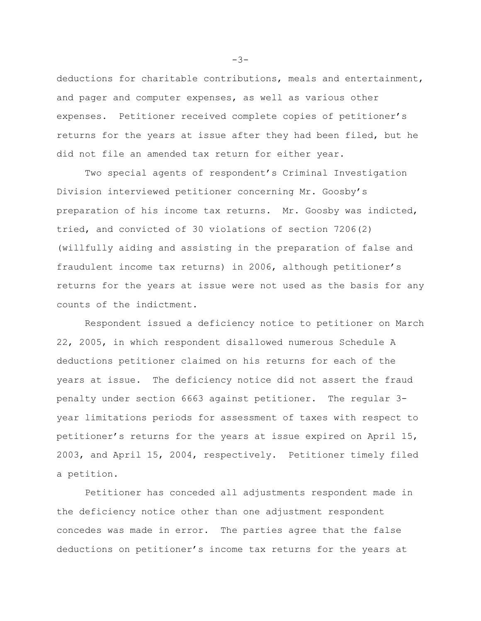deductions for charitable contributions, meals and entertainment, and pager and computer expenses, as well as various other expenses. Petitioner received complete copies of petitioner's returns for the years at issue after they had been filed, but he did not file an amended tax return for either year.

Two special agents of respondent's Criminal Investigation Division interviewed petitioner concerning Mr. Goosby's preparation of his income tax returns. Mr. Goosby was indicted, tried, and convicted of 30 violations of section 7206(2) (willfully aiding and assisting in the preparation of false and fraudulent income tax returns) in 2006, although petitioner's returns for the years at issue were not used as the basis for any counts of the indictment.

Respondent issued a deficiency notice to petitioner on March 22, 2005, in which respondent disallowed numerous Schedule A deductions petitioner claimed on his returns for each of the years at issue. The deficiency notice did not assert the fraud penalty under section 6663 against petitioner. The regular 3 year limitations periods for assessment of taxes with respect to petitioner's returns for the years at issue expired on April 15, 2003, and April 15, 2004, respectively. Petitioner timely filed a petition.

Petitioner has conceded all adjustments respondent made in the deficiency notice other than one adjustment respondent concedes was made in error. The parties agree that the false deductions on petitioner's income tax returns for the years at

-3-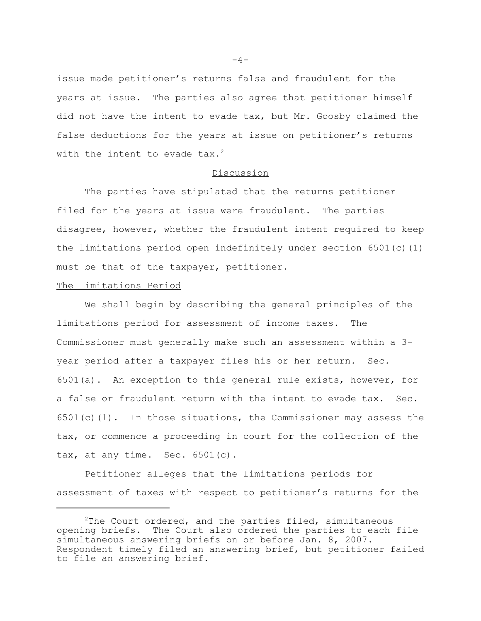issue made petitioner's returns false and fraudulent for the years at issue. The parties also agree that petitioner himself did not have the intent to evade tax, but Mr. Goosby claimed the false deductions for the years at issue on petitioner's returns with the intent to evade tax.<sup>2</sup>

# Discussion

The parties have stipulated that the returns petitioner filed for the years at issue were fraudulent. The parties disagree, however, whether the fraudulent intent required to keep the limitations period open indefinitely under section  $6501(c)(1)$ must be that of the taxpayer, petitioner.

### The Limitations Period

We shall begin by describing the general principles of the limitations period for assessment of income taxes. The Commissioner must generally make such an assessment within a 3 year period after a taxpayer files his or her return. Sec. 6501(a). An exception to this general rule exists, however, for a false or fraudulent return with the intent to evade tax. Sec.  $6501(c)(1)$ . In those situations, the Commissioner may assess the tax, or commence a proceeding in court for the collection of the tax, at any time. Sec. 6501(c).

Petitioner alleges that the limitations periods for assessment of taxes with respect to petitioner's returns for the

 $-4-$ 

 $2$ The Court ordered, and the parties filed, simultaneous opening briefs. The Court also ordered the parties to each file simultaneous answering briefs on or before Jan. 8, 2007. Respondent timely filed an answering brief, but petitioner failed to file an answering brief.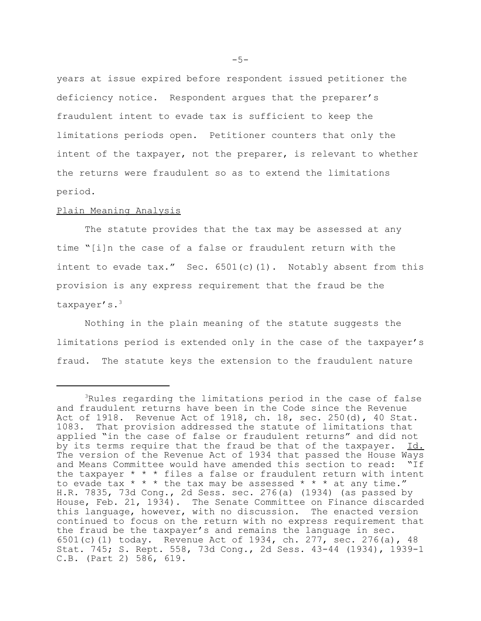years at issue expired before respondent issued petitioner the deficiency notice. Respondent argues that the preparer's fraudulent intent to evade tax is sufficient to keep the limitations periods open. Petitioner counters that only the intent of the taxpayer, not the preparer, is relevant to whether the returns were fraudulent so as to extend the limitations period.

### Plain Meaning Analysis

The statute provides that the tax may be assessed at any time "[i]n the case of a false or fraudulent return with the intent to evade  $\text{tax."}$  Sec.  $6501(c)(1)$ . Notably absent from this provision is any express requirement that the fraud be the taxpayer's.3

Nothing in the plain meaning of the statute suggests the limitations period is extended only in the case of the taxpayer's fraud. The statute keys the extension to the fraudulent nature

<sup>&</sup>lt;sup>3</sup>Rules regarding the limitations period in the case of false and fraudulent returns have been in the Code since the Revenue Act of 1918. Revenue Act of 1918, ch. 18, sec. 250(d), 40 Stat. 1083. That provision addressed the statute of limitations that applied "in the case of false or fraudulent returns" and did not by its terms require that the fraud be that of the taxpayer. Id. The version of the Revenue Act of 1934 that passed the House Ways and Means Committee would have amended this section to read: "If the taxpayer  $* * *$  files a false or fraudulent return with intent to evade tax  $* * *$  the tax may be assessed  $* * *$  at any time." H.R. 7835, 73d Cong., 2d Sess. sec. 276(a) (1934) (as passed by House, Feb. 21, 1934). The Senate Committee on Finance discarded this language, however, with no discussion. The enacted version continued to focus on the return with no express requirement that the fraud be the taxpayer's and remains the language in sec. 6501(c)(1) today. Revenue Act of 1934, ch. 277, sec. 276(a), 48 Stat. 745; S. Rept. 558, 73d Cong., 2d Sess. 43-44 (1934), 1939-1 C.B. (Part 2) 586, 619.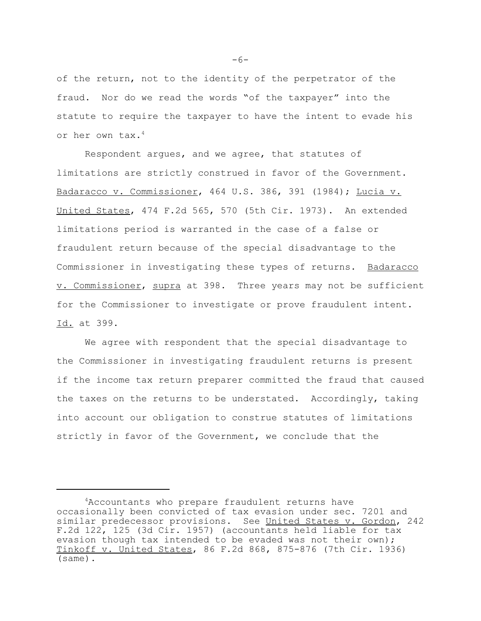of the return, not to the identity of the perpetrator of the fraud. Nor do we read the words "of the taxpayer" into the statute to require the taxpayer to have the intent to evade his or her own tax.4

Respondent argues, and we agree, that statutes of limitations are strictly construed in favor of the Government. Badaracco v. Commissioner, 464 U.S. 386, 391 (1984); Lucia v. United States, 474 F.2d 565, 570 (5th Cir. 1973). An extended limitations period is warranted in the case of a false or fraudulent return because of the special disadvantage to the Commissioner in investigating these types of returns. Badaracco v. Commissioner, supra at 398. Three years may not be sufficient for the Commissioner to investigate or prove fraudulent intent. Id. at 399.

We agree with respondent that the special disadvantage to the Commissioner in investigating fraudulent returns is present if the income tax return preparer committed the fraud that caused the taxes on the returns to be understated. Accordingly, taking into account our obligation to construe statutes of limitations strictly in favor of the Government, we conclude that the

-6-

<sup>&</sup>lt;sup>4</sup>Accountants who prepare fraudulent returns have occasionally been convicted of tax evasion under sec. 7201 and similar predecessor provisions. See United States v. Gordon, 242 F.2d 122, 125 (3d Cir. 1957) (accountants held liable for tax evasion though tax intended to be evaded was not their own); Tinkoff v. United States, 86 F.2d 868, 875-876 (7th Cir. 1936) (same).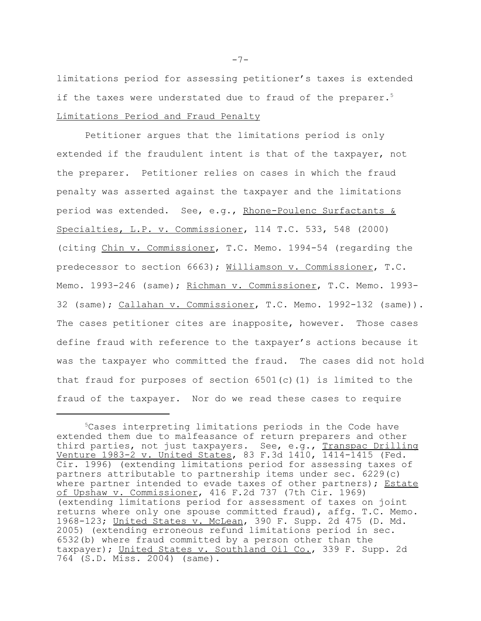limitations period for assessing petitioner's taxes is extended if the taxes were understated due to fraud of the preparer.<sup>5</sup> Limitations Period and Fraud Penalty

Petitioner argues that the limitations period is only extended if the fraudulent intent is that of the taxpayer, not the preparer. Petitioner relies on cases in which the fraud penalty was asserted against the taxpayer and the limitations period was extended. See, e.g., Rhone-Poulenc Surfactants & Specialties, L.P. v. Commissioner, 114 T.C. 533, 548 (2000) (citing Chin v. Commissioner, T.C. Memo. 1994-54 (regarding the predecessor to section 6663); Williamson v. Commissioner, T.C. Memo. 1993-246 (same); Richman v. Commissioner, T.C. Memo. 1993-32 (same); Callahan v. Commissioner, T.C. Memo. 1992-132 (same)). The cases petitioner cites are inapposite, however. Those cases define fraud with reference to the taxpayer's actions because it was the taxpayer who committed the fraud. The cases did not hold that fraud for purposes of section  $6501(c)(1)$  is limited to the fraud of the taxpayer. Nor do we read these cases to require

-7-

<sup>5</sup>Cases interpreting limitations periods in the Code have extended them due to malfeasance of return preparers and other third parties, not just taxpayers. See, e.g., Transpac Drilling Venture 1983-2 v. United States, 83 F.3d 1410, 1414-1415 (Fed. Cir. 1996) (extending limitations period for assessing taxes of partners attributable to partnership items under sec. 6229(c) where partner intended to evade taxes of other partners); Estate of Upshaw v. Commissioner, 416 F.2d 737 (7th Cir. 1969) (extending limitations period for assessment of taxes on joint returns where only one spouse committed fraud), affg. T.C. Memo. 1968-123; United States v. McLean, 390 F. Supp. 2d 475 (D. Md. 2005) (extending erroneous refund limitations period in sec. 6532(b) where fraud committed by a person other than the taxpayer); United States v. Southland Oil Co., 339 F. Supp. 2d 764 (S.D. Miss. 2004) (same).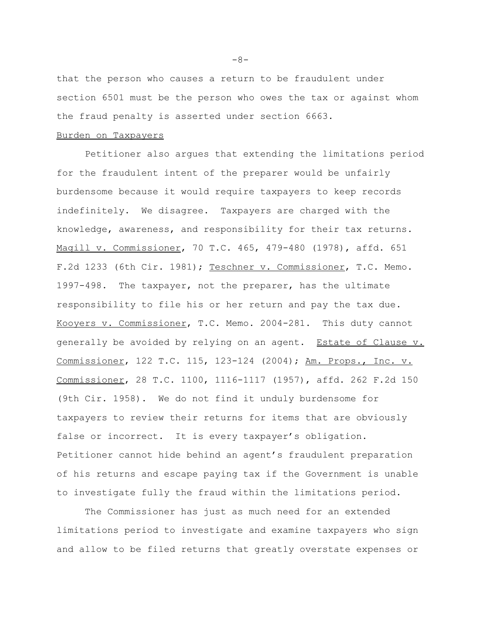that the person who causes a return to be fraudulent under section 6501 must be the person who owes the tax or against whom the fraud penalty is asserted under section 6663.

# Burden on Taxpayers

Petitioner also argues that extending the limitations period for the fraudulent intent of the preparer would be unfairly burdensome because it would require taxpayers to keep records indefinitely. We disagree. Taxpayers are charged with the knowledge, awareness, and responsibility for their tax returns. Magill v. Commissioner, 70 T.C. 465, 479-480 (1978), affd. 651 F.2d 1233 (6th Cir. 1981); Teschner v. Commissioner, T.C. Memo. 1997-498. The taxpayer, not the preparer, has the ultimate responsibility to file his or her return and pay the tax due. Kooyers v. Commissioner, T.C. Memo. 2004-281. This duty cannot generally be avoided by relying on an agent. Estate of Clause v. Commissioner, 122 T.C. 115, 123-124 (2004); Am. Props., Inc. v. Commissioner, 28 T.C. 1100, 1116-1117 (1957), affd. 262 F.2d 150 (9th Cir. 1958). We do not find it unduly burdensome for taxpayers to review their returns for items that are obviously false or incorrect. It is every taxpayer's obligation. Petitioner cannot hide behind an agent's fraudulent preparation of his returns and escape paying tax if the Government is unable to investigate fully the fraud within the limitations period.

The Commissioner has just as much need for an extended limitations period to investigate and examine taxpayers who sign and allow to be filed returns that greatly overstate expenses or

-8-